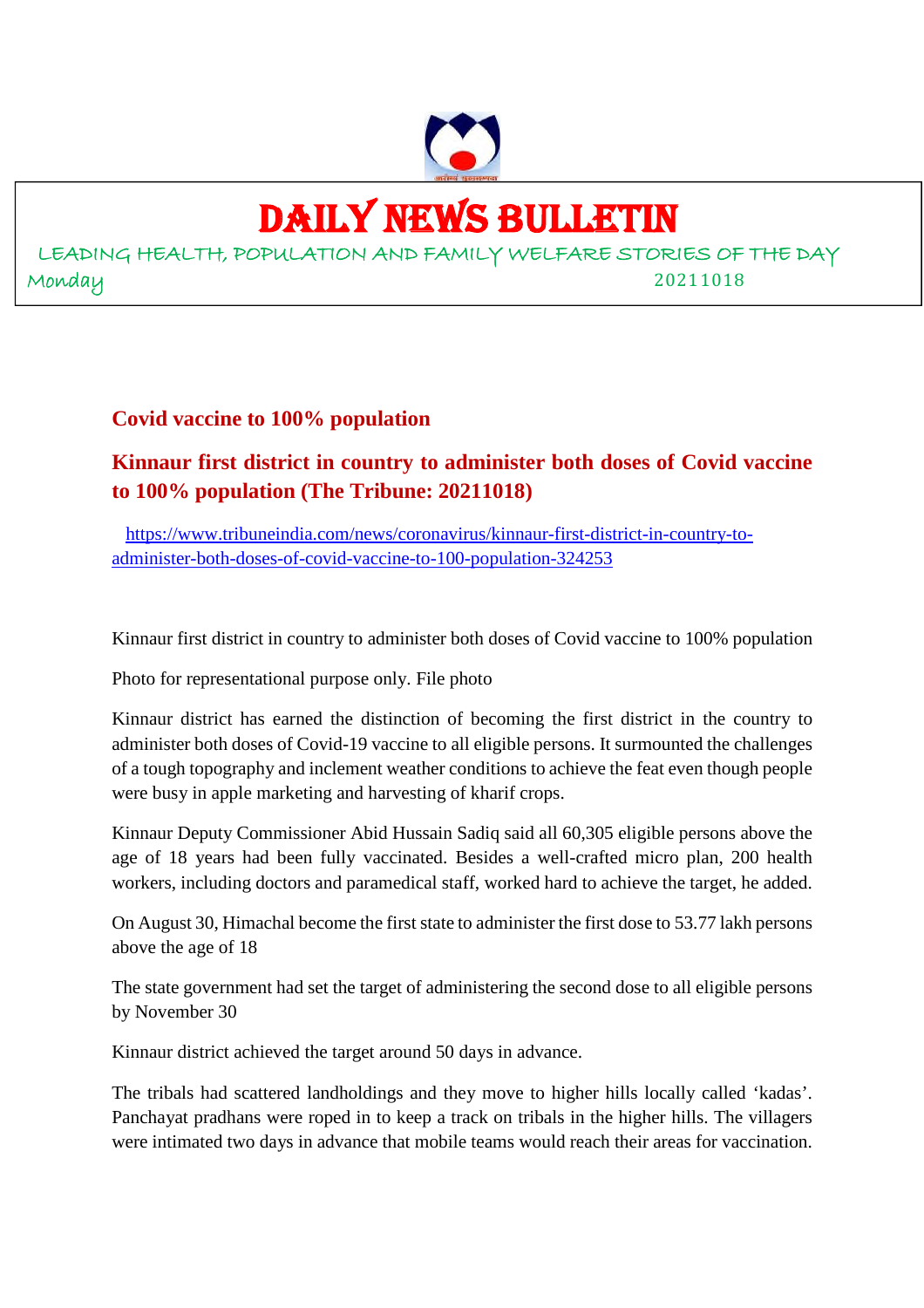

# DAILY NEWS BULLETIN

LEADING HEALTH, POPULATION AND FAMILY WELFARE STORIES OF THE DAY Monday 20211018

**Covid vaccine to 100% population**

# **Kinnaur first district in country to administer both doses of Covid vaccine to 100% population (The Tribune: 20211018)**

https://www.tribuneindia.com/news/coronavirus/kinnaur-first-district-in-country-toadminister-both-doses-of-covid-vaccine-to-100-population-324253

Kinnaur first district in country to administer both doses of Covid vaccine to 100% population

Photo for representational purpose only. File photo

Kinnaur district has earned the distinction of becoming the first district in the country to administer both doses of Covid-19 vaccine to all eligible persons. It surmounted the challenges of a tough topography and inclement weather conditions to achieve the feat even though people were busy in apple marketing and harvesting of kharif crops.

Kinnaur Deputy Commissioner Abid Hussain Sadiq said all 60,305 eligible persons above the age of 18 years had been fully vaccinated. Besides a well-crafted micro plan, 200 health workers, including doctors and paramedical staff, worked hard to achieve the target, he added.

On August 30, Himachal become the first state to administer the first dose to 53.77 lakh persons above the age of 18

The state government had set the target of administering the second dose to all eligible persons by November 30

Kinnaur district achieved the target around 50 days in advance.

The tribals had scattered landholdings and they move to higher hills locally called 'kadas'. Panchayat pradhans were roped in to keep a track on tribals in the higher hills. The villagers were intimated two days in advance that mobile teams would reach their areas for vaccination.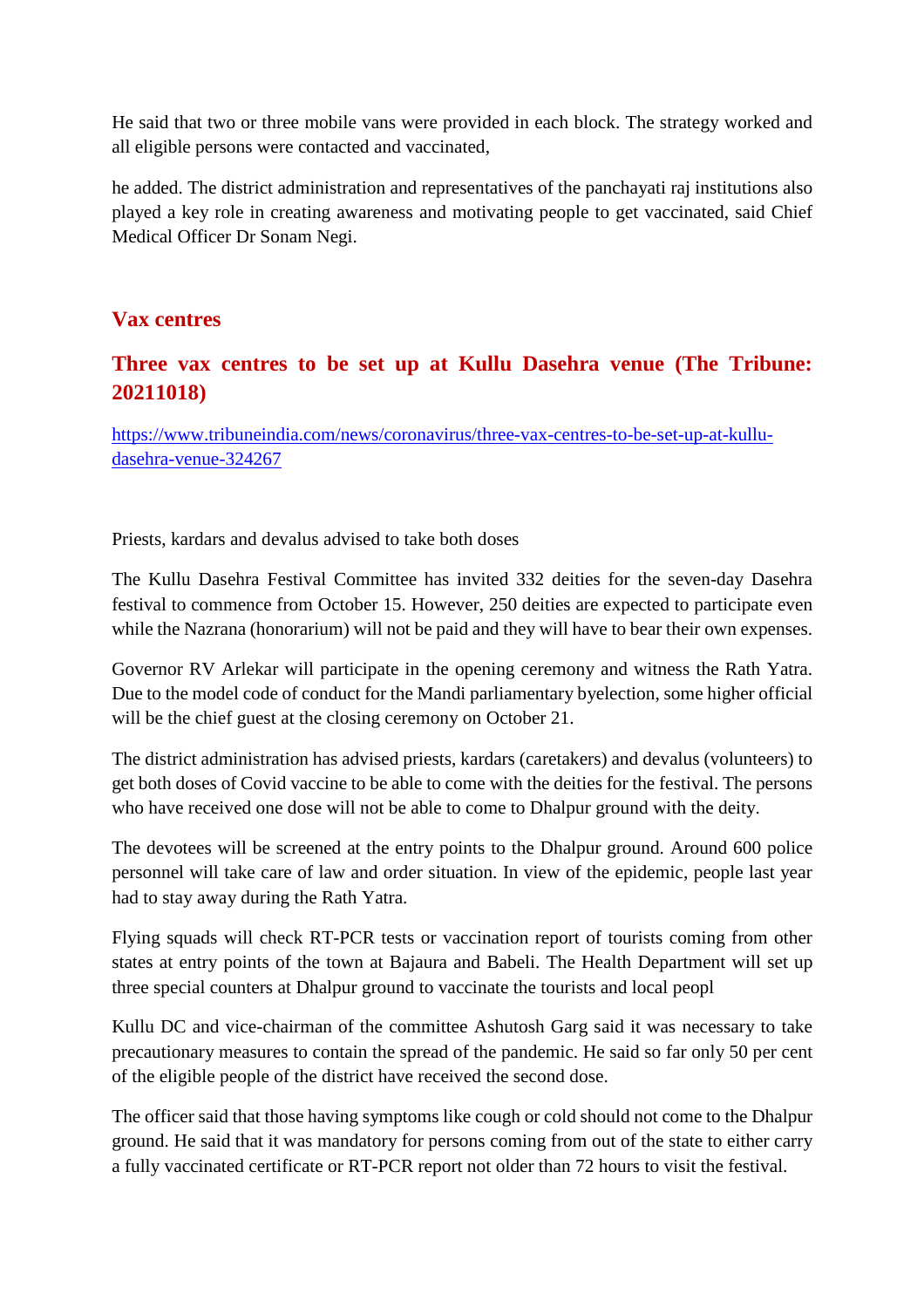He said that two or three mobile vans were provided in each block. The strategy worked and all eligible persons were contacted and vaccinated,

he added. The district administration and representatives of the panchayati raj institutions also played a key role in creating awareness and motivating people to get vaccinated, said Chief Medical Officer Dr Sonam Negi.

#### **Vax centres**

# **Three vax centres to be set up at Kullu Dasehra venue (The Tribune: 20211018)**

https://www.tribuneindia.com/news/coronavirus/three-vax-centres-to-be-set-up-at-kulludasehra-venue-324267

Priests, kardars and devalus advised to take both doses

The Kullu Dasehra Festival Committee has invited 332 deities for the seven-day Dasehra festival to commence from October 15. However, 250 deities are expected to participate even while the Nazrana (honorarium) will not be paid and they will have to bear their own expenses.

Governor RV Arlekar will participate in the opening ceremony and witness the Rath Yatra. Due to the model code of conduct for the Mandi parliamentary byelection, some higher official will be the chief guest at the closing ceremony on October 21.

The district administration has advised priests, kardars (caretakers) and devalus (volunteers) to get both doses of Covid vaccine to be able to come with the deities for the festival. The persons who have received one dose will not be able to come to Dhalpur ground with the deity.

The devotees will be screened at the entry points to the Dhalpur ground. Around 600 police personnel will take care of law and order situation. In view of the epidemic, people last year had to stay away during the Rath Yatra.

Flying squads will check RT-PCR tests or vaccination report of tourists coming from other states at entry points of the town at Bajaura and Babeli. The Health Department will set up three special counters at Dhalpur ground to vaccinate the tourists and local peopl

Kullu DC and vice-chairman of the committee Ashutosh Garg said it was necessary to take precautionary measures to contain the spread of the pandemic. He said so far only 50 per cent of the eligible people of the district have received the second dose.

The officer said that those having symptoms like cough or cold should not come to the Dhalpur ground. He said that it was mandatory for persons coming from out of the state to either carry a fully vaccinated certificate or RT-PCR report not older than 72 hours to visit the festival.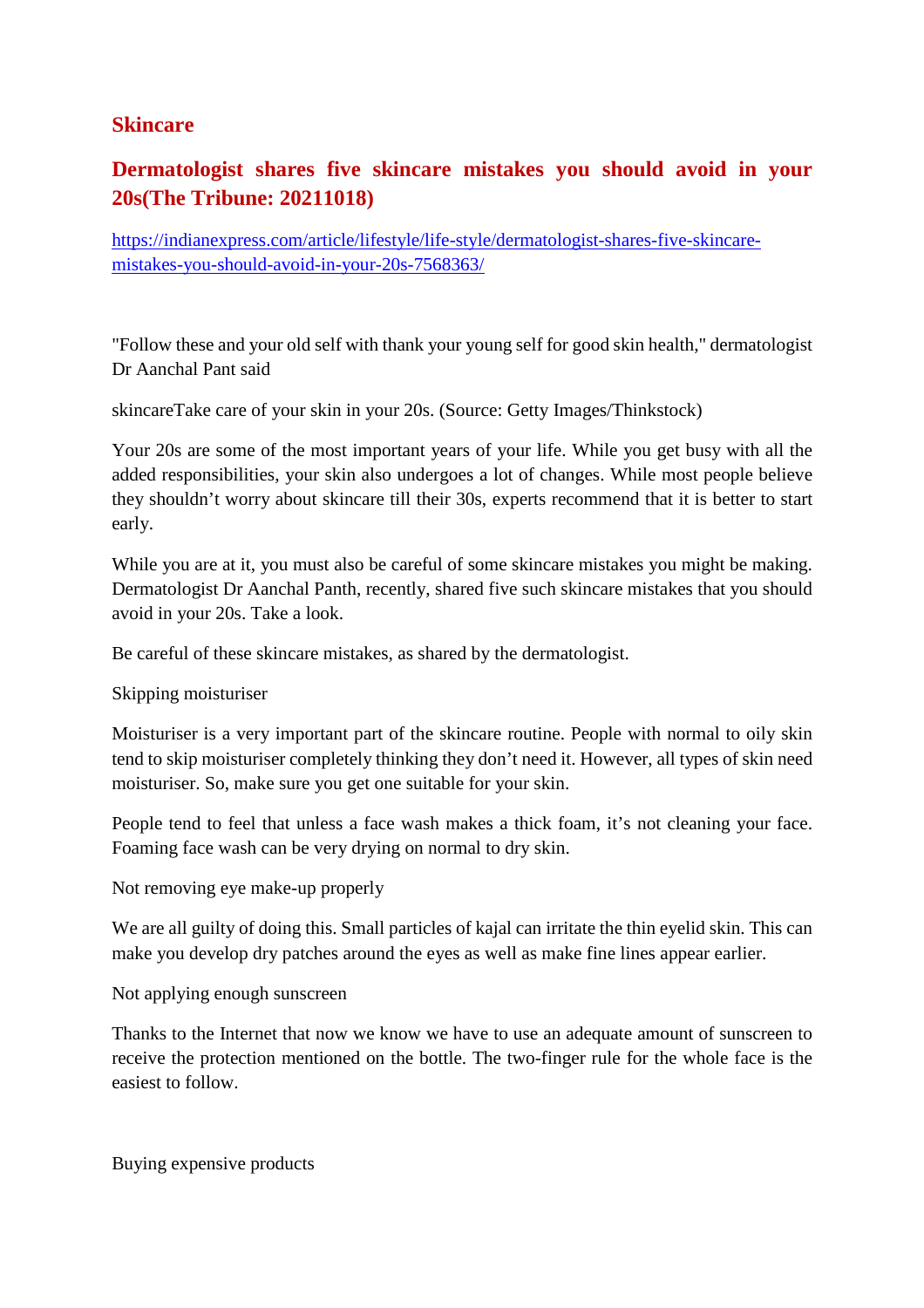#### **Skincare**

# **Dermatologist shares five skincare mistakes you should avoid in your 20s(The Tribune: 20211018)**

https://indianexpress.com/article/lifestyle/life-style/dermatologist-shares-five-skincaremistakes-you-should-avoid-in-your-20s-7568363/

"Follow these and your old self with thank your young self for good skin health," dermatologist Dr Aanchal Pant said

skincareTake care of your skin in your 20s. (Source: Getty Images/Thinkstock)

Your 20s are some of the most important years of your life. While you get busy with all the added responsibilities, your skin also undergoes a lot of changes. While most people believe they shouldn't worry about skincare till their 30s, experts recommend that it is better to start early.

While you are at it, you must also be careful of some skincare mistakes you might be making. Dermatologist Dr Aanchal Panth, recently, shared five such skincare mistakes that you should avoid in your 20s. Take a look.

Be careful of these skincare mistakes, as shared by the dermatologist.

Skipping moisturiser

Moisturiser is a very important part of the skincare routine. People with normal to oily skin tend to skip moisturiser completely thinking they don't need it. However, all types of skin need moisturiser. So, make sure you get one suitable for your skin.

People tend to feel that unless a face wash makes a thick foam, it's not cleaning your face. Foaming face wash can be very drying on normal to dry skin.

Not removing eye make-up properly

We are all guilty of doing this. Small particles of kajal can irritate the thin eyelid skin. This can make you develop dry patches around the eyes as well as make fine lines appear earlier.

Not applying enough sunscreen

Thanks to the Internet that now we know we have to use an adequate amount of sunscreen to receive the protection mentioned on the bottle. The two-finger rule for the whole face is the easiest to follow.

Buying expensive products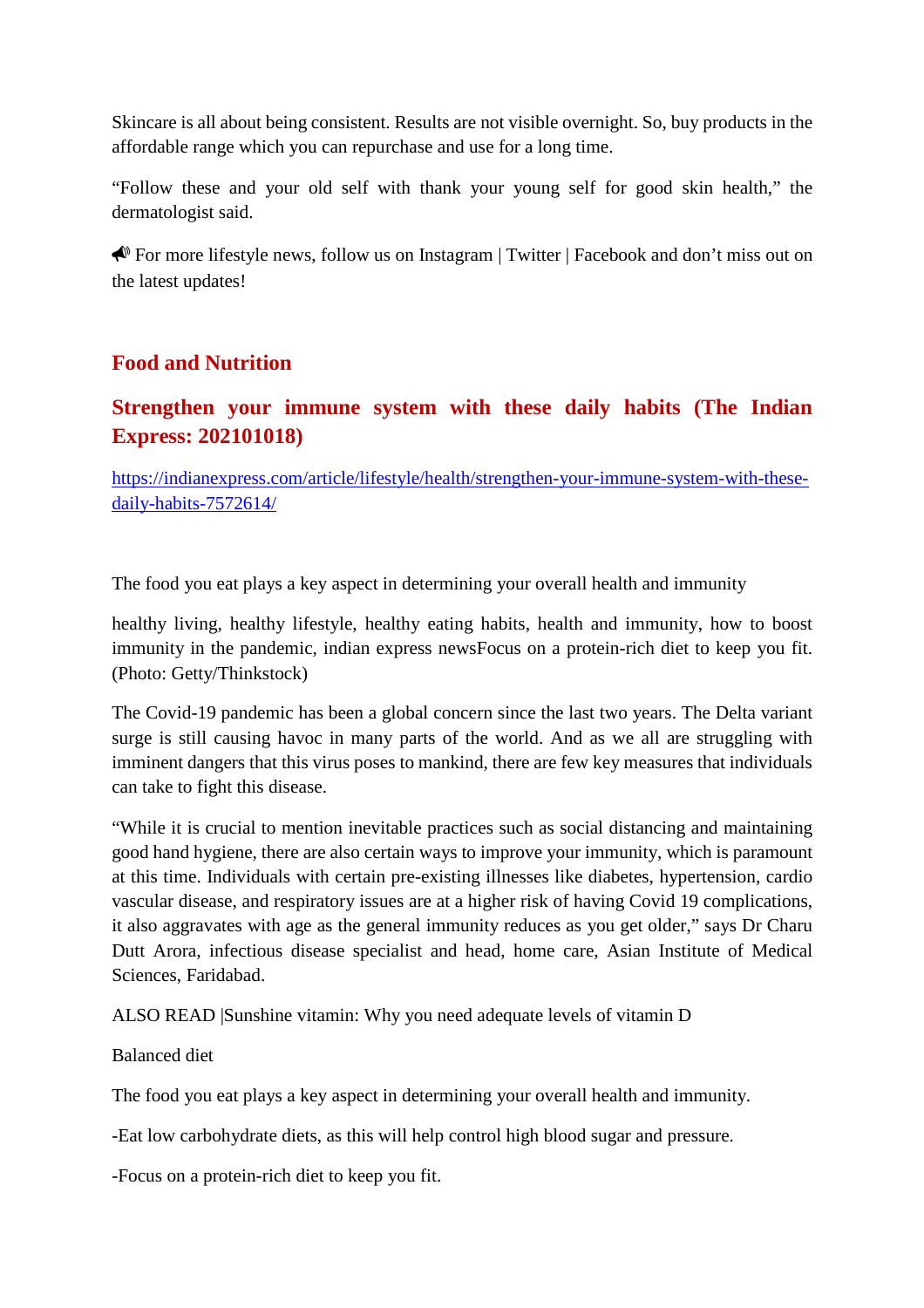Skincare is all about being consistent. Results are not visible overnight. So, buy products in the affordable range which you can repurchase and use for a long time.

"Follow these and your old self with thank your young self for good skin health," the dermatologist said.

For more lifestyle news, follow us on Instagram | Twitter | Facebook and don't miss out on the latest updates!

# **Food and Nutrition**

# **Strengthen your immune system with these daily habits (The Indian Express: 202101018)**

https://indianexpress.com/article/lifestyle/health/strengthen-your-immune-system-with-thesedaily-habits-7572614/

The food you eat plays a key aspect in determining your overall health and immunity

healthy living, healthy lifestyle, healthy eating habits, health and immunity, how to boost immunity in the pandemic, indian express newsFocus on a protein-rich diet to keep you fit. (Photo: Getty/Thinkstock)

The Covid-19 pandemic has been a global concern since the last two years. The Delta variant surge is still causing havoc in many parts of the world. And as we all are struggling with imminent dangers that this virus poses to mankind, there are few key measures that individuals can take to fight this disease.

"While it is crucial to mention inevitable practices such as social distancing and maintaining good hand hygiene, there are also certain ways to improve your immunity, which is paramount at this time. Individuals with certain pre-existing illnesses like diabetes, hypertension, cardio vascular disease, and respiratory issues are at a higher risk of having Covid 19 complications, it also aggravates with age as the general immunity reduces as you get older," says Dr Charu Dutt Arora, infectious disease specialist and head, home care, Asian Institute of Medical Sciences, Faridabad.

ALSO READ |Sunshine vitamin: Why you need adequate levels of vitamin D

Balanced diet

The food you eat plays a key aspect in determining your overall health and immunity.

-Eat low carbohydrate diets, as this will help control high blood sugar and pressure.

-Focus on a protein-rich diet to keep you fit.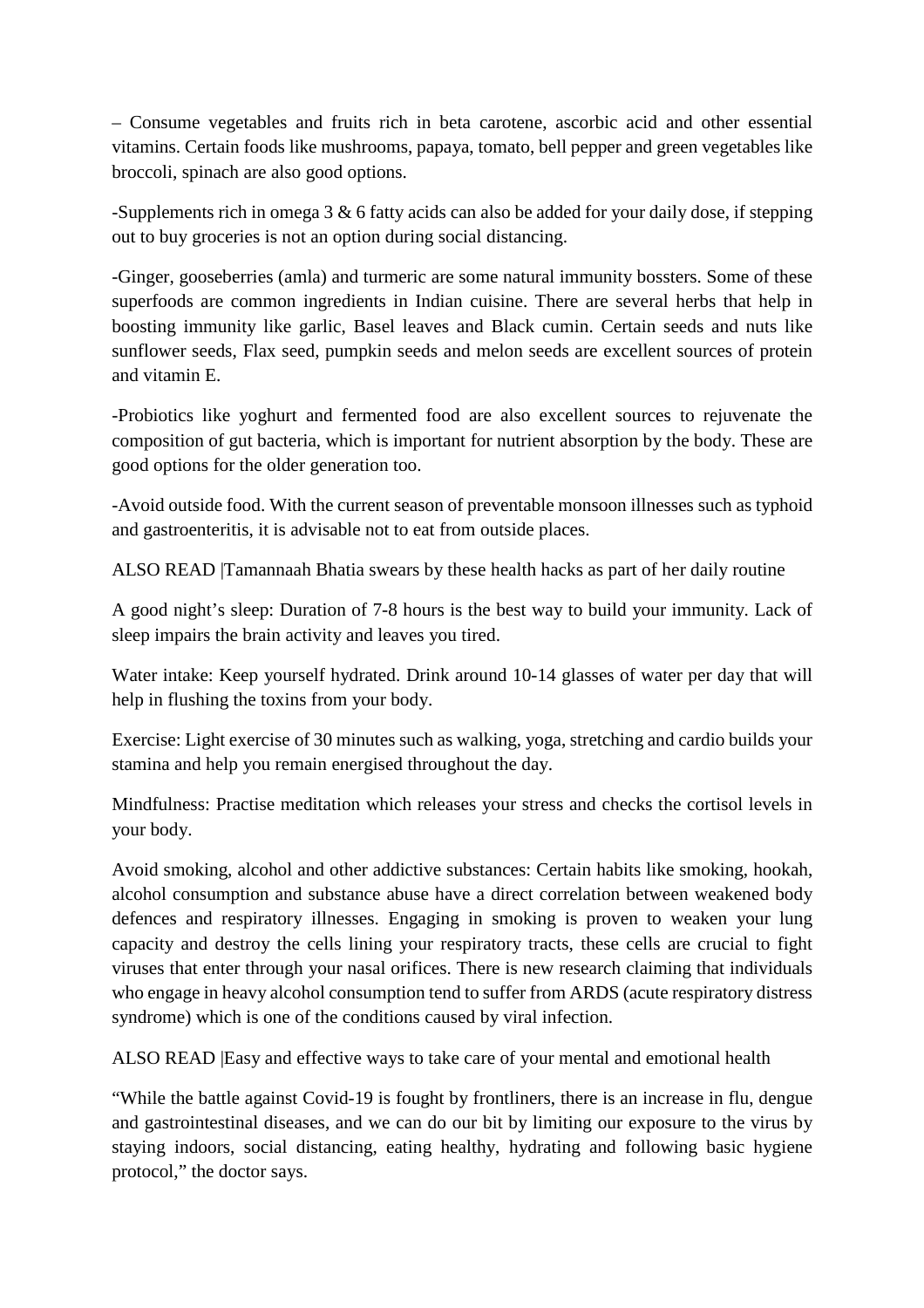– Consume vegetables and fruits rich in beta carotene, ascorbic acid and other essential vitamins. Certain foods like mushrooms, papaya, tomato, bell pepper and green vegetables like broccoli, spinach are also good options.

-Supplements rich in omega 3 & 6 fatty acids can also be added for your daily dose, if stepping out to buy groceries is not an option during social distancing.

-Ginger, gooseberries (amla) and turmeric are some natural immunity bossters. Some of these superfoods are common ingredients in Indian cuisine. There are several herbs that help in boosting immunity like garlic, Basel leaves and Black cumin. Certain seeds and nuts like sunflower seeds, Flax seed, pumpkin seeds and melon seeds are excellent sources of protein and vitamin E.

-Probiotics like yoghurt and fermented food are also excellent sources to rejuvenate the composition of gut bacteria, which is important for nutrient absorption by the body. These are good options for the older generation too.

-Avoid outside food. With the current season of preventable monsoon illnesses such as typhoid and gastroenteritis, it is advisable not to eat from outside places.

ALSO READ |Tamannaah Bhatia swears by these health hacks as part of her daily routine

A good night's sleep: Duration of 7-8 hours is the best way to build your immunity. Lack of sleep impairs the brain activity and leaves you tired.

Water intake: Keep yourself hydrated. Drink around 10-14 glasses of water per day that will help in flushing the toxins from your body.

Exercise: Light exercise of 30 minutes such as walking, yoga, stretching and cardio builds your stamina and help you remain energised throughout the day.

Mindfulness: Practise meditation which releases your stress and checks the cortisol levels in your body.

Avoid smoking, alcohol and other addictive substances: Certain habits like smoking, hookah, alcohol consumption and substance abuse have a direct correlation between weakened body defences and respiratory illnesses. Engaging in smoking is proven to weaken your lung capacity and destroy the cells lining your respiratory tracts, these cells are crucial to fight viruses that enter through your nasal orifices. There is new research claiming that individuals who engage in heavy alcohol consumption tend to suffer from ARDS (acute respiratory distress syndrome) which is one of the conditions caused by viral infection.

ALSO READ |Easy and effective ways to take care of your mental and emotional health

"While the battle against Covid-19 is fought by frontliners, there is an increase in flu, dengue and gastrointestinal diseases, and we can do our bit by limiting our exposure to the virus by staying indoors, social distancing, eating healthy, hydrating and following basic hygiene protocol," the doctor says.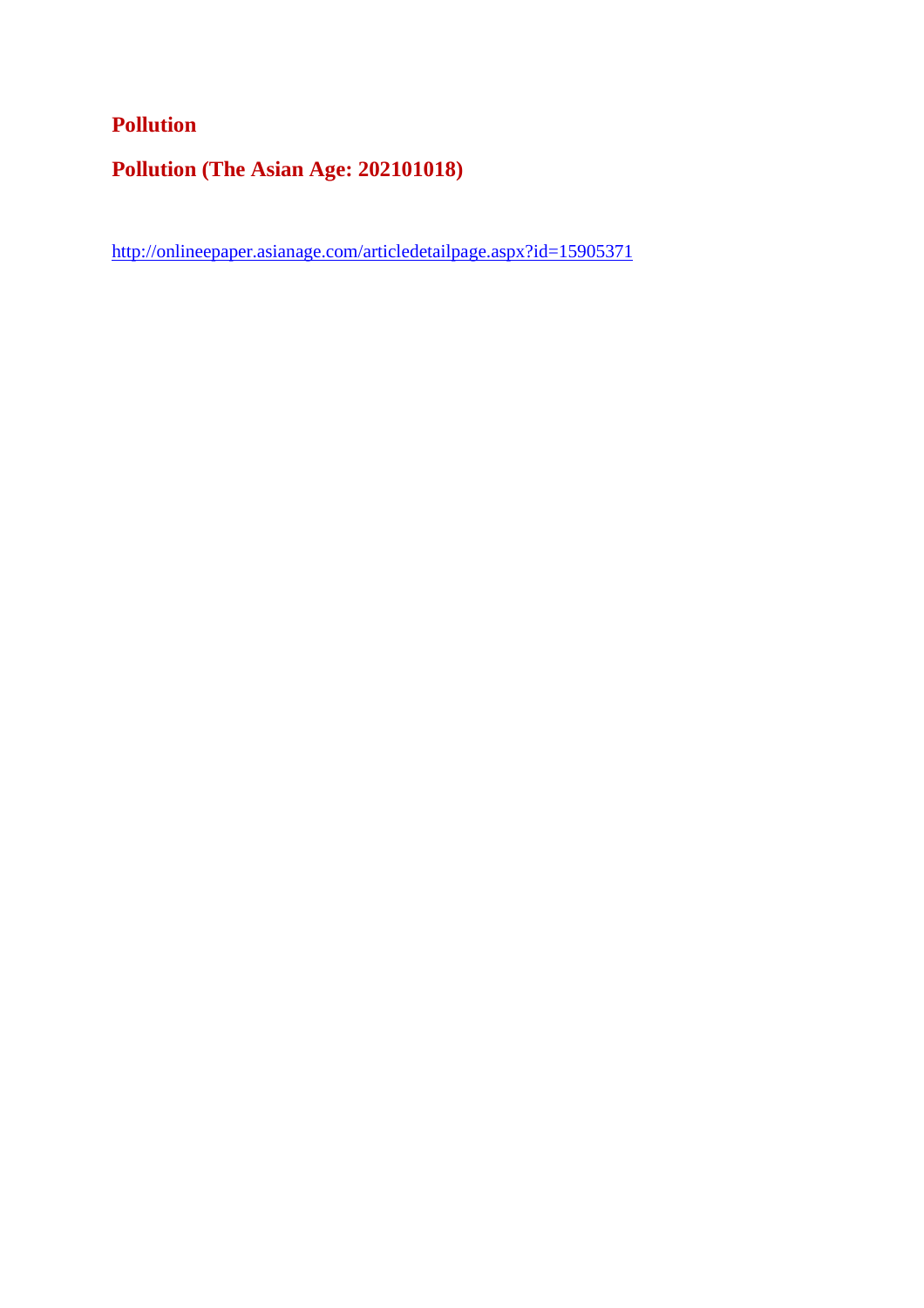# **Pollution**

**Pollution (The Asian Age: 202101018)**

http://onlineepaper.asianage.com/articledetailpage.aspx?id=15905371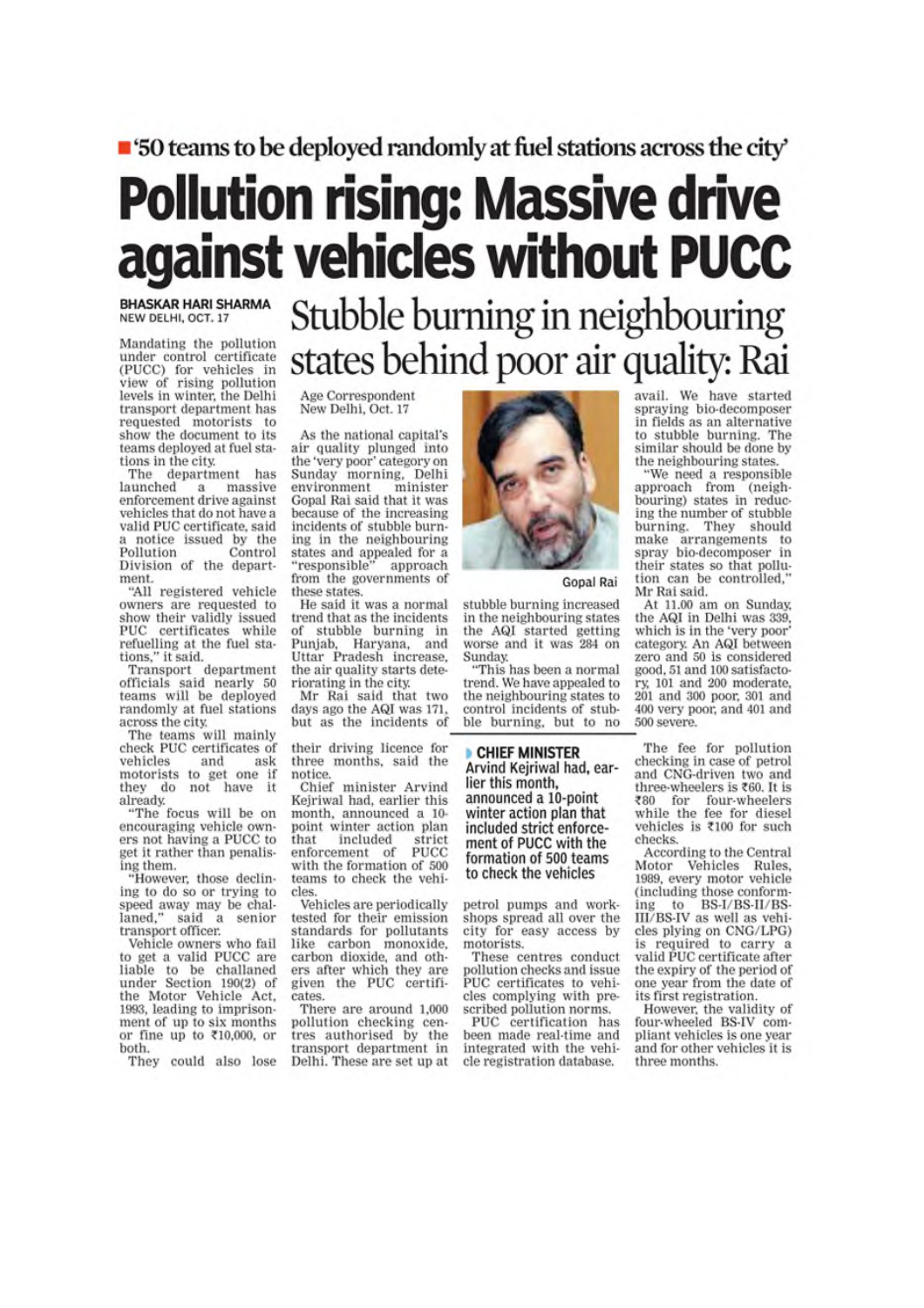# ■ '50 teams to be deployed randomly at fuel stations across the city'

# **Pollution rising: Massive drive** against vehicles without PUCC

**BHASKAR HARI SHARMA** NEW DELHI, OCT. 17

Mandating the pollution Manuating the pointed entirely<br>the control certificate<br>(PUCC) for vehicles in<br>view of rising pollution<br>levels in winter, the Delhi transport department has requested motorists to show the document to its teams deployed at fuel stations in the city.

The department has launched  $\mathbf{a}$ massive enforcement drive against vehicles that do not have a valid PUC certificate, said notice issued by the Pollution Control Division of the department.

"All registered vehicle owners are requested to show their validly issued PUC certificates while refuelling at the fuel stations," it said.

Transport department<br>officials said nearly 50 teams will be deployed randomly at fuel stations across the city.

The teams will mainly check PUC certificates of vehicles and ask motorists to get one if they do not have it already.

"The focus will be on encouraging vehicle owners not having a PUCC to get it rather than penalising them.

"However, those declining to do so or trying to speed away may be challaned," said a senior said a senior transport officer.

Vehicle owners who fail<br>to get a valid PUCC are liable to be challaned<br>under Section 190(2) of the Motor Vehicle Act, 1993, leading to imprisonment of up to six months<br>or fine up to  $\text{\textsterling}10,000$ , or both.

They could also lose

Stubble burning in neighbouring states behind poor air quality: Rai

Age Correspondent New Delhi, Oct. 17

As the national capital's air quality plunged into the 'very poor' category on Sunday morning, Delhi environment minister Gopal Rai said that it was because of the increasing incidents of stubble burning in the neighbouring states and appealed for a<br>"responsible" approach from the governments of these states.

He said it was a normal trend that as the incidents of stubble burning in Punjab, Haryana, and<br>Uttar Pradesh increase, the air quality starts deteriorating in the city.

Mr Rai said that two days ago the AQI was 171. but as the incidents of

their driving licence for three months, said the notice

Chief minister Arvind Kejriwal had, earlier this month, announced a 10point winter action plan that included strict enforcement of **PUCC** with the formation of 500 teams to check the vehicles

Vehicles are periodically tested for their emission<br>standards for pollutants like carbon monoxide, carbon dioxide, and others after which they are given the PUC certificates.

There are around 1,000 pollution checking cen-<br>tres authorised by the transport department in Delhi. These are set up at



Gopal Rai

stubble burning increased in the neighbouring states the AQI started getting worse and it was 284 on Sunday.

This has been a normal trend. We have appealed to the neighbouring states to control incidents of stubble burning, but to no

CHIEF MINISTER Arvind Kejriwal had, earlier this month, announced a 10-point winter action plan that included strict enforcement of PUCC with the formation of 500 teams to check the vehicles

petrol pumps and workshops spread all over the city for easy access by motorists.

These centres conduct pollution checks and issue PUC certificates to vehicles complying with prescribed pollution norms.

PUC certification has been made real-time and integrated with the vehicle registration database.

avail. We have started spraying bio-decomposer in fields as an alternative to stubble burning. The similar should be done by the neighbouring states.

"We need a responsible approach from (neighbouring) states in reducing the number of stubble burning. They should make arrangements to spray bio-decomposer in their states so that pollution can be controlled, Mr Rai said.

At 11.00 am on Sunday, the AQI in Delhi was 339, which is in the 'very poor' category. An AQI between zero and 50 is considered good, 51 and 100 satisfactory, 101 and 200 moderate, 201 and 300 poor, 301 and 400 very poor, and 401 and 500 severe.

The fee for pollution checking in case of petrol and CNG-driven two and three-wheelers is ₹60. It is ₹80 for four-wheelers while the fee for diesel vehicles is ₹100 for such checks.

According to the Central Motor Vehicles Rules, 1989, every motor vehicle (including those conforming to BS-I/BS-II/BS-III/BS-III/BS-IV as well as vehicles plying on CNG/LPG) is required to carry a valid PUC certificate after the expiry of the period of one year from the date of its first registration.

However, the validity of four-wheeled BS-IV compliant vehicles is one year and for other vehicles it is three months.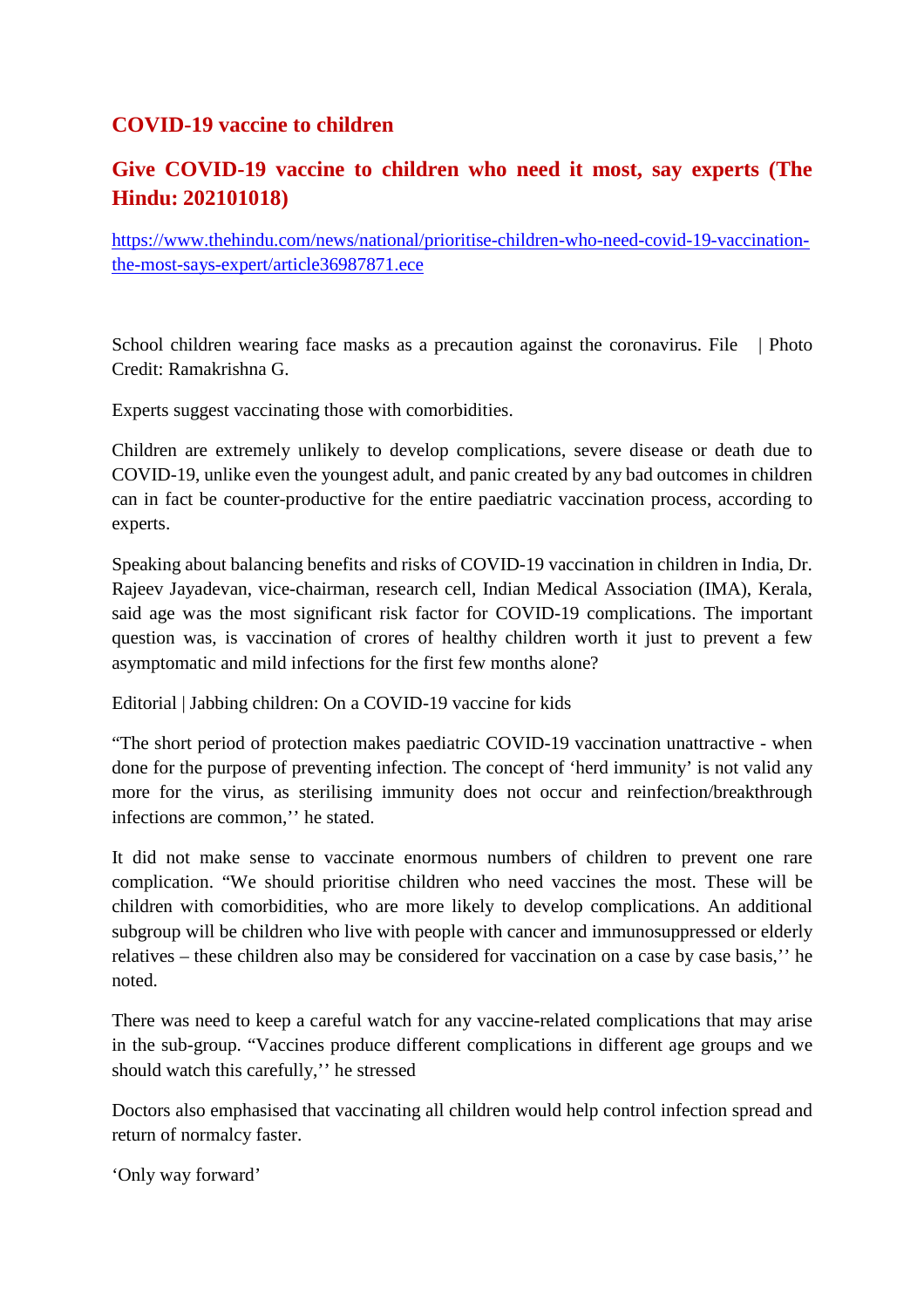# **COVID-19 vaccine to children**

# **Give COVID-19 vaccine to children who need it most, say experts (The Hindu: 202101018)**

https://www.thehindu.com/news/national/prioritise-children-who-need-covid-19-vaccinationthe-most-says-expert/article36987871.ece

School children wearing face masks as a precaution against the coronavirus. File | Photo Credit: Ramakrishna G.

Experts suggest vaccinating those with comorbidities.

Children are extremely unlikely to develop complications, severe disease or death due to COVID-19, unlike even the youngest adult, and panic created by any bad outcomes in children can in fact be counter-productive for the entire paediatric vaccination process, according to experts.

Speaking about balancing benefits and risks of COVID-19 vaccination in children in India, Dr. Rajeev Jayadevan, vice-chairman, research cell, Indian Medical Association (IMA), Kerala, said age was the most significant risk factor for COVID-19 complications. The important question was, is vaccination of crores of healthy children worth it just to prevent a few asymptomatic and mild infections for the first few months alone?

Editorial | Jabbing children: On a COVID-19 vaccine for kids

"The short period of protection makes paediatric COVID-19 vaccination unattractive - when done for the purpose of preventing infection. The concept of 'herd immunity' is not valid any more for the virus, as sterilising immunity does not occur and reinfection/breakthrough infections are common,'' he stated.

It did not make sense to vaccinate enormous numbers of children to prevent one rare complication. "We should prioritise children who need vaccines the most. These will be children with comorbidities, who are more likely to develop complications. An additional subgroup will be children who live with people with cancer and immunosuppressed or elderly relatives – these children also may be considered for vaccination on a case by case basis,'' he noted.

There was need to keep a careful watch for any vaccine-related complications that may arise in the sub-group. "Vaccines produce different complications in different age groups and we should watch this carefully,'' he stressed

Doctors also emphasised that vaccinating all children would help control infection spread and return of normalcy faster.

'Only way forward'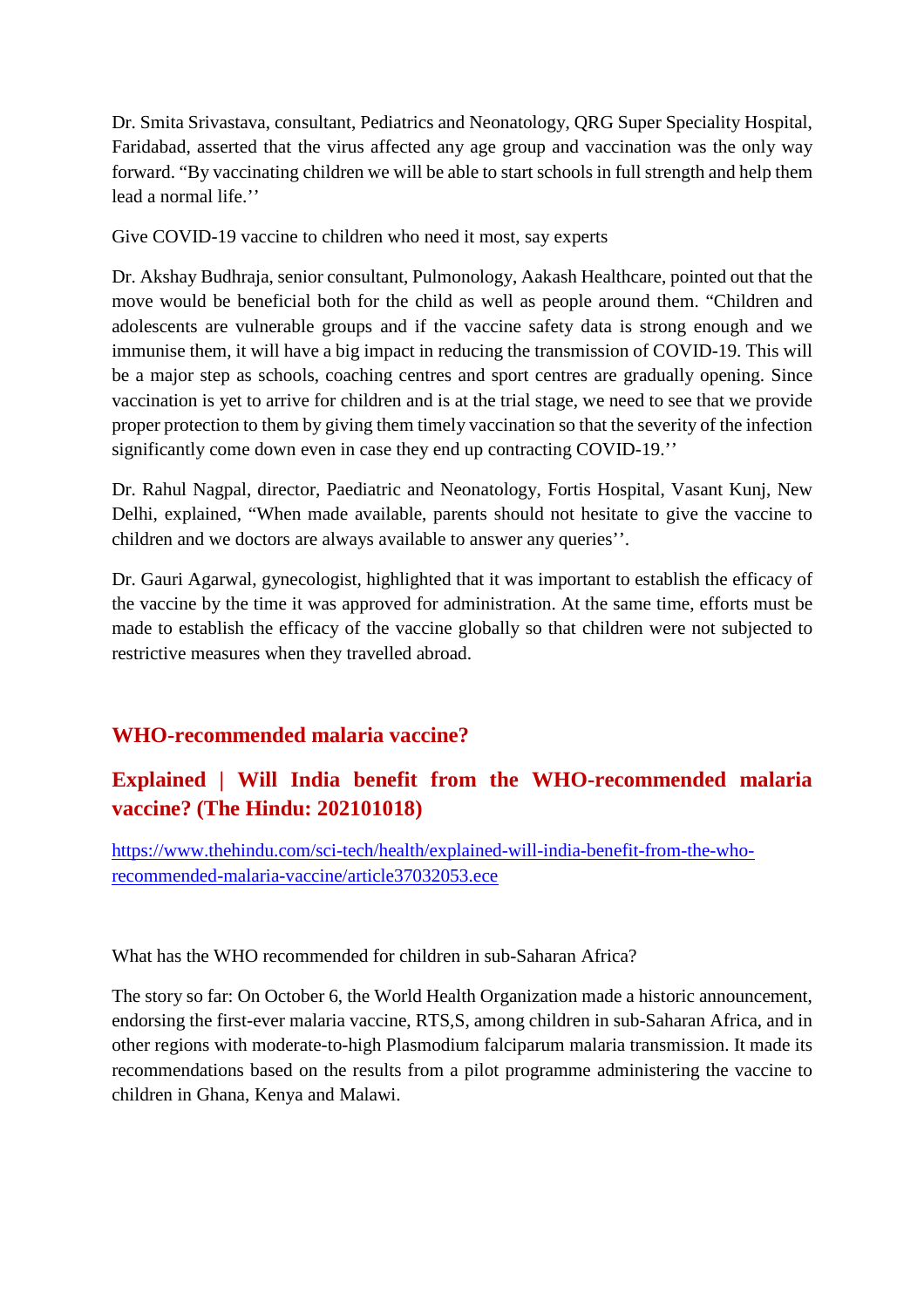Dr. Smita Srivastava, consultant, Pediatrics and Neonatology, QRG Super Speciality Hospital, Faridabad, asserted that the virus affected any age group and vaccination was the only way forward. "By vaccinating children we will be able to start schools in full strength and help them lead a normal life.''

Give COVID-19 vaccine to children who need it most, say experts

Dr. Akshay Budhraja, senior consultant, Pulmonology, Aakash Healthcare, pointed out that the move would be beneficial both for the child as well as people around them. "Children and adolescents are vulnerable groups and if the vaccine safety data is strong enough and we immunise them, it will have a big impact in reducing the transmission of COVID-19. This will be a major step as schools, coaching centres and sport centres are gradually opening. Since vaccination is yet to arrive for children and is at the trial stage, we need to see that we provide proper protection to them by giving them timely vaccination so that the severity of the infection significantly come down even in case they end up contracting COVID-19.''

Dr. Rahul Nagpal, director, Paediatric and Neonatology, Fortis Hospital, Vasant Kunj, New Delhi, explained, "When made available, parents should not hesitate to give the vaccine to children and we doctors are always available to answer any queries''.

Dr. Gauri Agarwal, gynecologist, highlighted that it was important to establish the efficacy of the vaccine by the time it was approved for administration. At the same time, efforts must be made to establish the efficacy of the vaccine globally so that children were not subjected to restrictive measures when they travelled abroad.

# **WHO-recommended malaria vaccine?**

# **Explained | Will India benefit from the WHO-recommended malaria vaccine? (The Hindu: 202101018)**

https://www.thehindu.com/sci-tech/health/explained-will-india-benefit-from-the-whorecommended-malaria-vaccine/article37032053.ece

What has the WHO recommended for children in sub-Saharan Africa?

The story so far: On October 6, the World Health Organization made a historic announcement, endorsing the first-ever malaria vaccine, RTS,S, among children in sub-Saharan Africa, and in other regions with moderate-to-high Plasmodium falciparum malaria transmission. It made its recommendations based on the results from a pilot programme administering the vaccine to children in Ghana, Kenya and Malawi.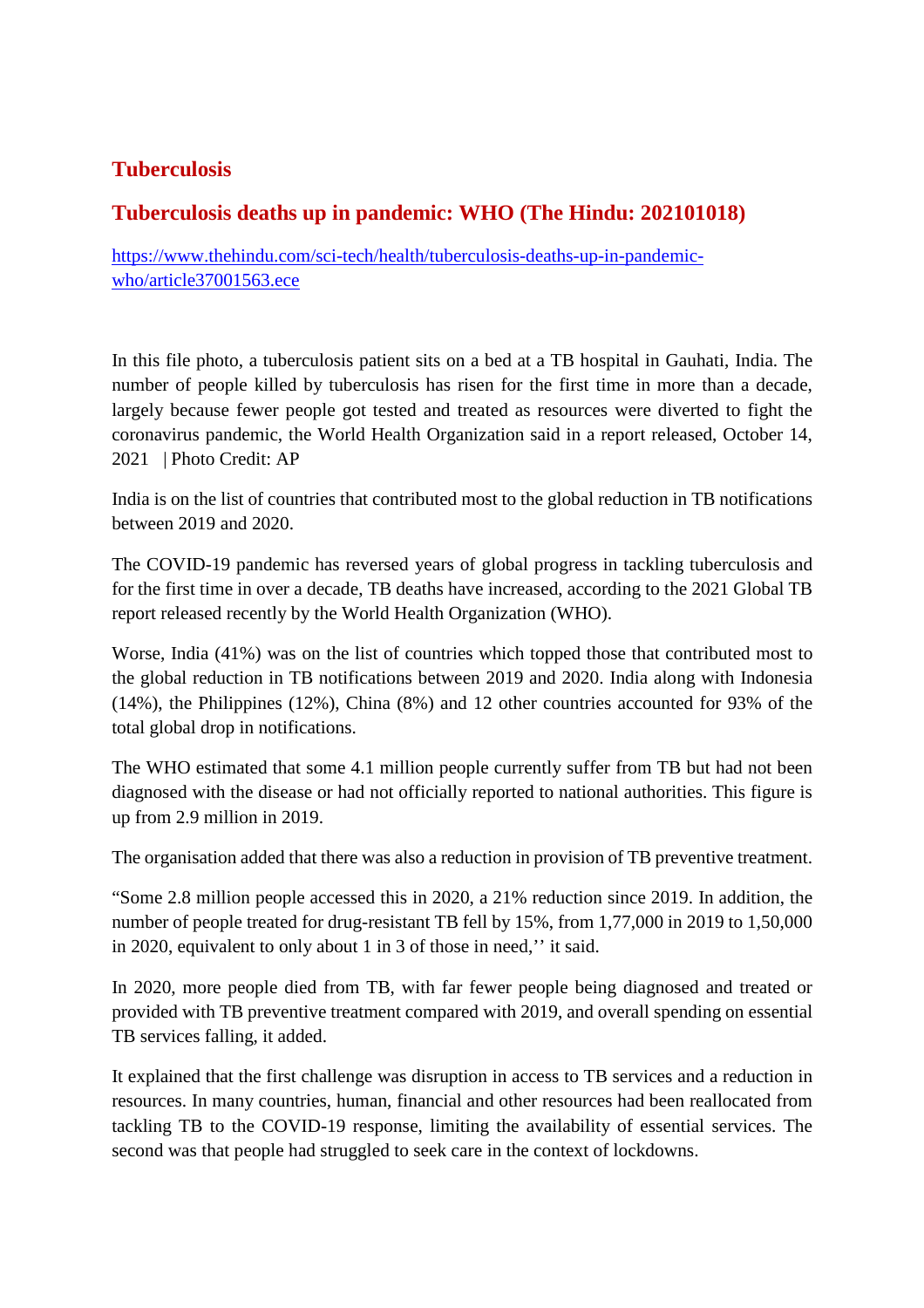# **Tuberculosis**

# **Tuberculosis deaths up in pandemic: WHO (The Hindu: 202101018)**

https://www.thehindu.com/sci-tech/health/tuberculosis-deaths-up-in-pandemicwho/article37001563.ece

In this file photo, a tuberculosis patient sits on a bed at a TB hospital in Gauhati, India. The number of people killed by tuberculosis has risen for the first time in more than a decade, largely because fewer people got tested and treated as resources were diverted to fight the coronavirus pandemic, the World Health Organization said in a report released, October 14, 2021 | Photo Credit: AP

India is on the list of countries that contributed most to the global reduction in TB notifications between 2019 and 2020.

The COVID-19 pandemic has reversed years of global progress in tackling tuberculosis and for the first time in over a decade, TB deaths have increased, according to the 2021 Global TB report released recently by the World Health Organization (WHO).

Worse, India (41%) was on the list of countries which topped those that contributed most to the global reduction in TB notifications between 2019 and 2020. India along with Indonesia (14%), the Philippines (12%), China (8%) and 12 other countries accounted for 93% of the total global drop in notifications.

The WHO estimated that some 4.1 million people currently suffer from TB but had not been diagnosed with the disease or had not officially reported to national authorities. This figure is up from 2.9 million in 2019.

The organisation added that there was also a reduction in provision of TB preventive treatment.

"Some 2.8 million people accessed this in 2020, a 21% reduction since 2019. In addition, the number of people treated for drug-resistant TB fell by 15%, from 1,77,000 in 2019 to 1,50,000 in 2020, equivalent to only about 1 in 3 of those in need,'' it said.

In 2020, more people died from TB, with far fewer people being diagnosed and treated or provided with TB preventive treatment compared with 2019, and overall spending on essential TB services falling, it added.

It explained that the first challenge was disruption in access to TB services and a reduction in resources. In many countries, human, financial and other resources had been reallocated from tackling TB to the COVID-19 response, limiting the availability of essential services. The second was that people had struggled to seek care in the context of lockdowns.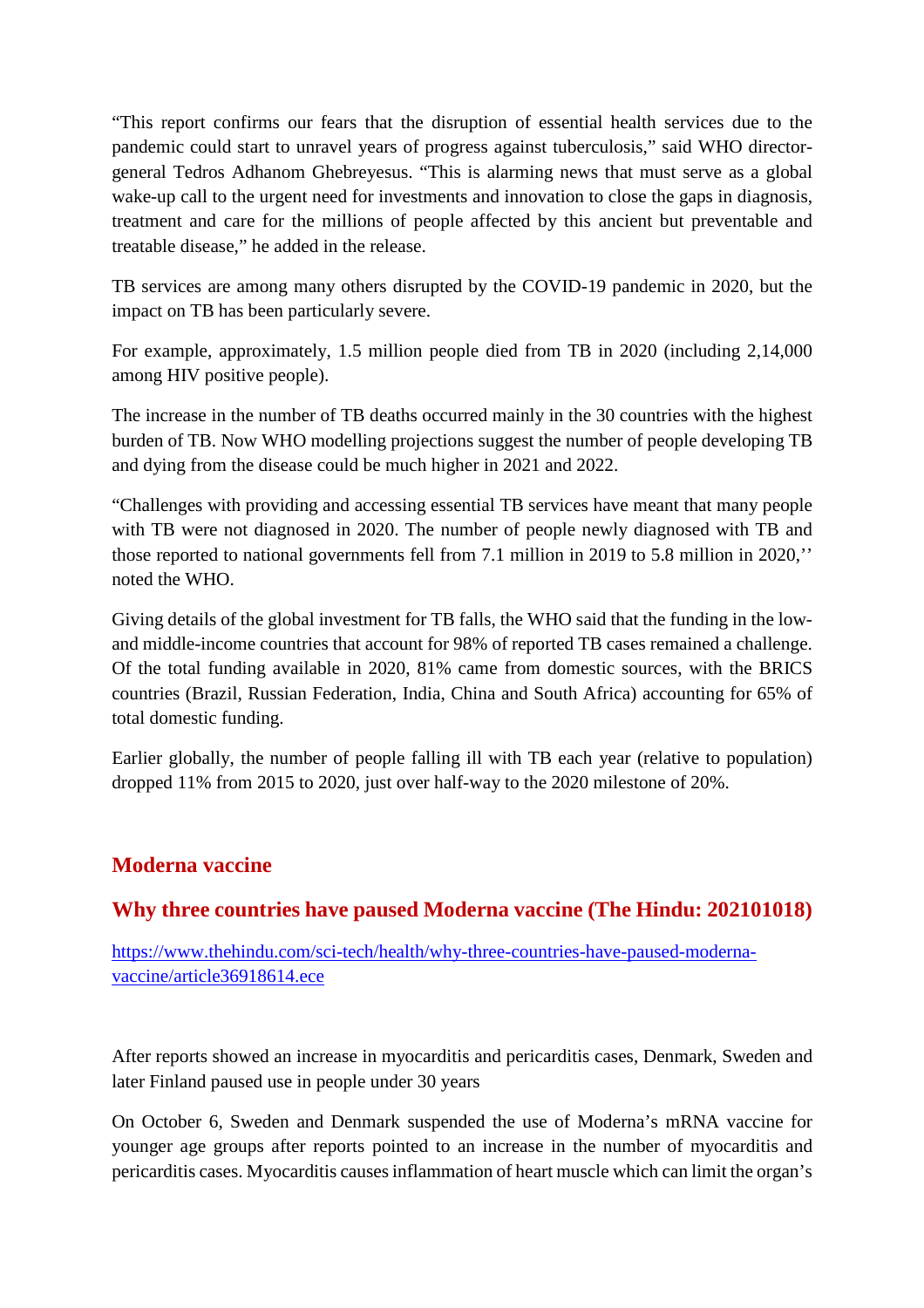"This report confirms our fears that the disruption of essential health services due to the pandemic could start to unravel years of progress against tuberculosis," said WHO directorgeneral Tedros Adhanom Ghebreyesus. "This is alarming news that must serve as a global wake-up call to the urgent need for investments and innovation to close the gaps in diagnosis, treatment and care for the millions of people affected by this ancient but preventable and treatable disease," he added in the release.

TB services are among many others disrupted by the COVID-19 pandemic in 2020, but the impact on TB has been particularly severe.

For example, approximately, 1.5 million people died from TB in 2020 (including 2,14,000 among HIV positive people).

The increase in the number of TB deaths occurred mainly in the 30 countries with the highest burden of TB. Now WHO modelling projections suggest the number of people developing TB and dying from the disease could be much higher in 2021 and 2022.

"Challenges with providing and accessing essential TB services have meant that many people with TB were not diagnosed in 2020. The number of people newly diagnosed with TB and those reported to national governments fell from 7.1 million in 2019 to 5.8 million in 2020,'' noted the WHO.

Giving details of the global investment for TB falls, the WHO said that the funding in the lowand middle-income countries that account for 98% of reported TB cases remained a challenge. Of the total funding available in 2020, 81% came from domestic sources, with the BRICS countries (Brazil, Russian Federation, India, China and South Africa) accounting for 65% of total domestic funding.

Earlier globally, the number of people falling ill with TB each year (relative to population) dropped 11% from 2015 to 2020, just over half-way to the 2020 milestone of 20%.

#### **Moderna vaccine**

#### **Why three countries have paused Moderna vaccine (The Hindu: 202101018)**

https://www.thehindu.com/sci-tech/health/why-three-countries-have-paused-modernavaccine/article36918614.ece

After reports showed an increase in myocarditis and pericarditis cases, Denmark, Sweden and later Finland paused use in people under 30 years

On October 6, Sweden and Denmark suspended the use of Moderna's mRNA vaccine for younger age groups after reports pointed to an increase in the number of myocarditis and pericarditis cases. Myocarditis causes inflammation of heart muscle which can limit the organ's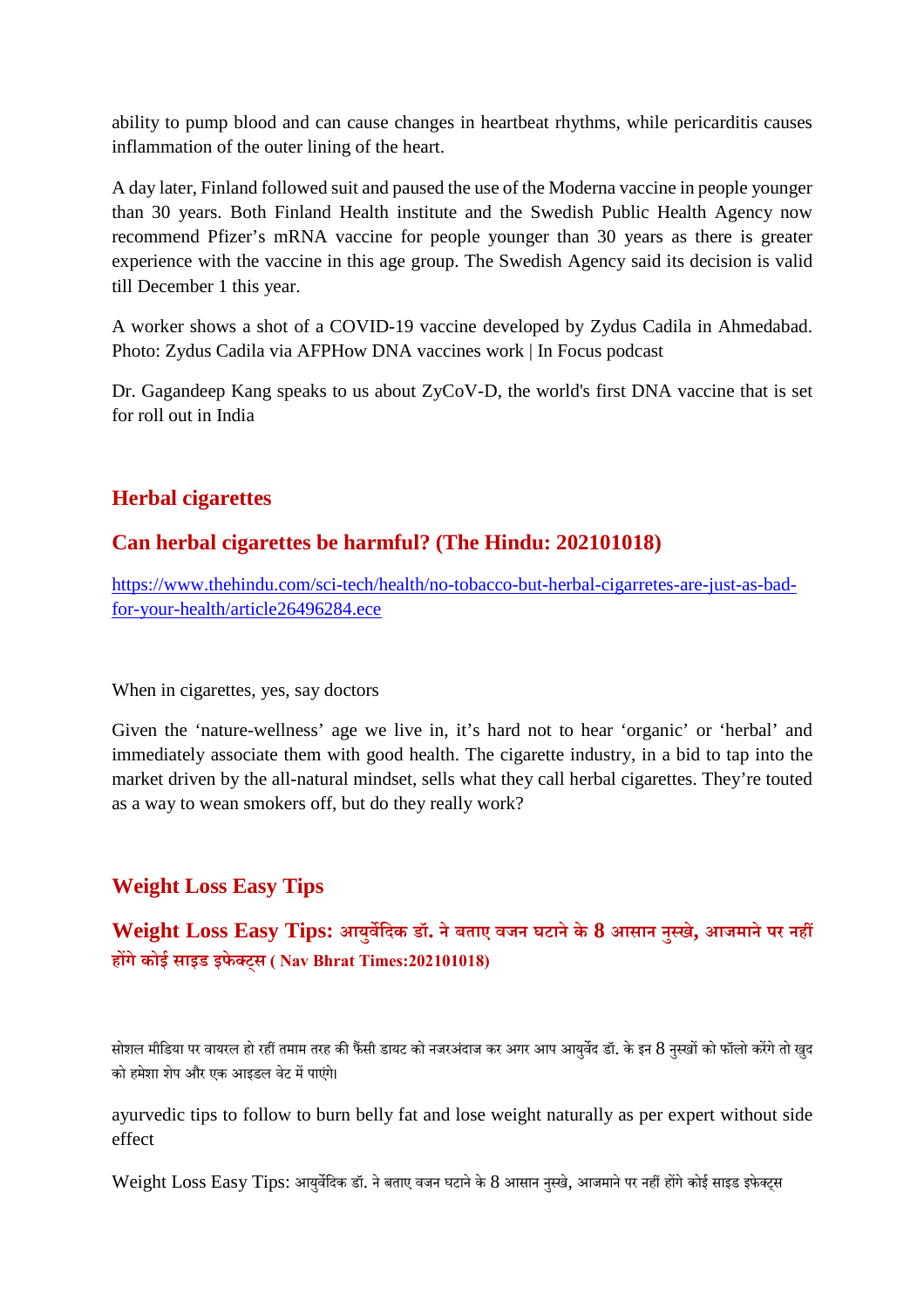ability to pump blood and can cause changes in heartbeat rhythms, while pericarditis causes inflammation of the outer lining of the heart.

A day later, Finland followed suit and paused the use of the Moderna vaccine in people younger than 30 years. Both Finland Health institute and the Swedish Public Health Agency now recommend Pfizer's mRNA vaccine for people younger than 30 years as there is greater experience with the vaccine in this age group. The Swedish Agency said its decision is valid till December 1 this year.

A worker shows a shot of a COVID-19 vaccine developed by Zydus Cadila in Ahmedabad. Photo: Zydus Cadila via AFPHow DNA vaccines work | In Focus podcast

Dr. Gagandeep Kang speaks to us about ZyCoV-D, the world's first DNA vaccine that is set for roll out in India

# **Herbal cigarettes**

# **Can herbal cigarettes be harmful? (The Hindu: 202101018)**

https://www.thehindu.com/sci-tech/health/no-tobacco-but-herbal-cigarretes-are-just-as-badfor-your-health/article26496284.ece

When in cigarettes, yes, say doctors

Given the 'nature-wellness' age we live in, it's hard not to hear 'organic' or 'herbal' and immediately associate them with good health. The cigarette industry, in a bid to tap into the market driven by the all-natural mindset, sells what they call herbal cigarettes. They're touted as a way to wean smokers off, but do they really work?

# **Weight Loss Easy Tips**

# **Weight Loss Easy Tips: आयुविदक डॉ. नेबताए वजन घटानेके 8 आसान नुखे, आजमानेपर नह हगेकोई साइड इफेट्स ( Nav Bhrat Times:202101018)**

सोशल मीडिया पर वायरल हो रहीं तमाम तरह की फैंसी डायट को नजरअंदाज कर अगर आप आयर्वेद डॉ. के इन 8 नस्खों को फॉलो करेंगे तो खद को हमेशा शेप और एक आइडल वेट में पाएंगे।

ayurvedic tips to follow to burn belly fat and lose weight naturally as per expert without side effect

Weight Loss Easy Tips: आयर्वेदिक डॉ. ने बताए वजन घटाने के 8 आसान नस्खे, आजमाने पर नहीं होंगे कोई साइड इफेक्टस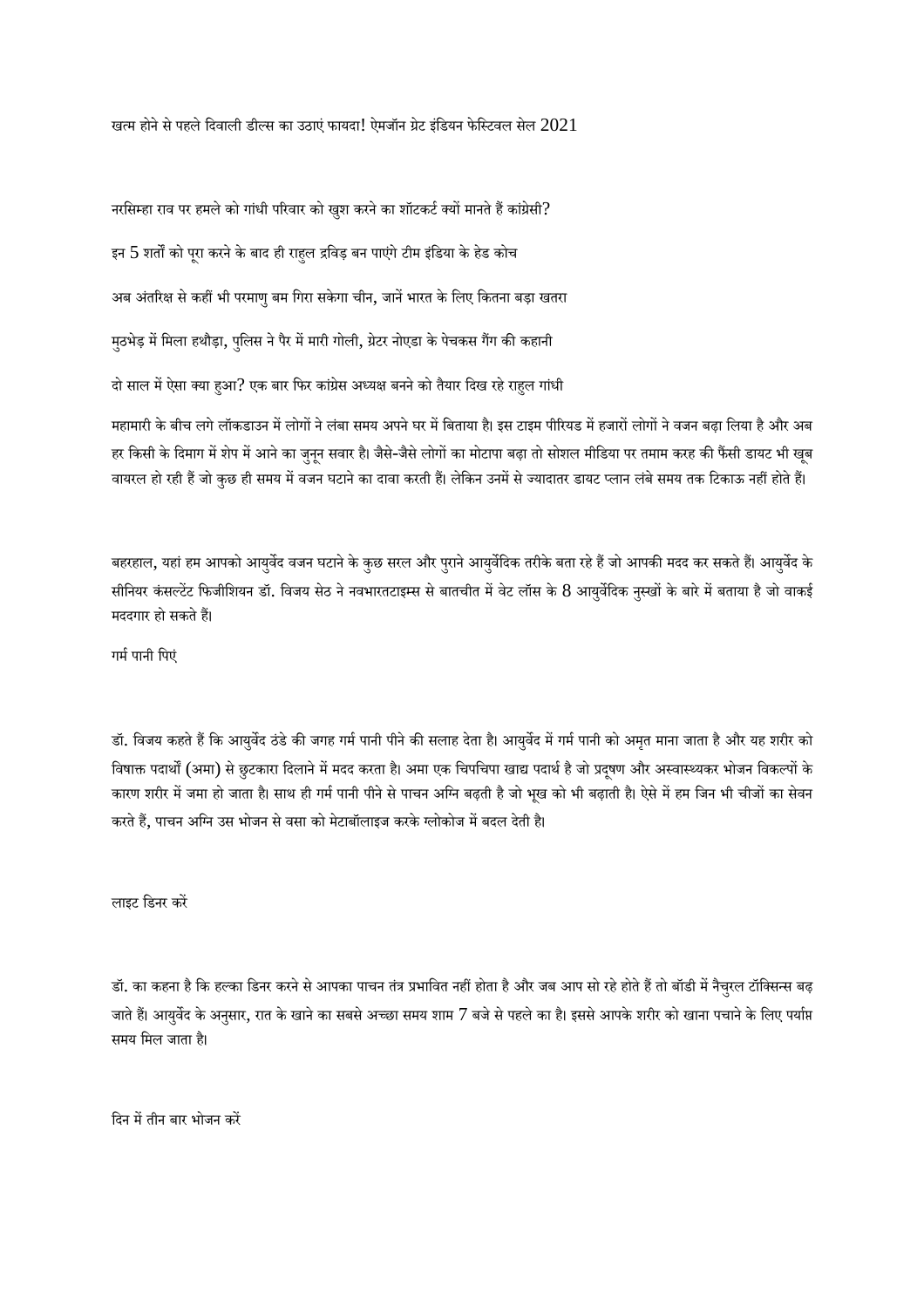खत्म होने से पहले दिवाली डील्स का उठाएं फायदा! ऐमजॉन ग्रेट इंडियन फेस्टिवल सेल  $2021$ 

नरसिम्हा राव पर हमले को गांधी परिवार को खुश करने का शॉटकर्ट क्यों मानते हैं कांग्रेसी? इन  $5$  शर्तों को पूरा करने के बाद ही राहुल द्रविड़ बन पाएंगे टीम इंडिया के हेड कोच अब अंतरिक्ष से कहीं भी परमाणु बम गिरा सकेगा चीन, जानें भारत के लिए कितना बड़ा खतरा मुठभेड़ में मिला हथौड़ा, पुलिस ने पैर में मारी गोली, ग्रेटर नोएडा के पेचकस गैंग की कहानी दो साल में ऐसा क्या हुआ? एक बार फिर कांग्रेस अध्यक्ष बनने को तैयार दिख रहे राहुल गांधी महामारी के बीच लगे लॉकडाउन में लोगों ने लंबा समय अपने घर में बिताया है। इस टाइम पीरियड में हजारों लोगों ने वजन बढ़ा लिया है और अब हर किसी के दिमाग में शेप में आने का जुनून सवार है। जैसे-जैसे लोगों का मोटापा बढ़ा तो सोशल मीडिया पर तमाम करह की फैंसी डायट भी खूब वायरल हो रही हैं जो कुछ ही समय में वजन घटाने का दावा करती हैं। लेकिन उनमें से ज्यादातर डायट प्लान लंबे समय तक टिकाऊ नहीं होते हैं।

बहरहाल, यहां हम आपको आयुर्वेद वजन घटाने के कुछ सरल और पुराने आयुर्वेदिक तरीके बता रहे हैं जो आपकी मदद कर सकते हैं। आयुर्वेद के सीनियर कंसल्टेंट फिजीशियन डॉ. विजय सेठ ने नवभारतटाइम्स से बातचीत में वेट लॉस के 8 आयर्वेदिक नुस्खों के बारे में बताया है जो वाकई मददगार हो सकते हैं।

गर्म पानी पिएं

डॉ. विजय कहते हैं कि आयुर्वेद ठंडे की जगह गर्म पानी पीने की सलाह देता है। आयुर्वेद में गर्म पानी को अमृत माना जाता है और यह शरीर को विषाक्त पदार्थों (अमा) से छुटकारा दिलाने में मदद करता है। अमा एक चिपचिपा खाद्य पदार्थ है जो प्रदुषण और अस्वास्थ्यकर भोजन विकल्पों के कारण शरीर में जमा हो जाता है। साथ ही गर्म पानी पीने से पाचन अग्नि बढ़ती है जो भूख को भी बढ़ाती है। ऐसे में हम जिन भी चीजों का सेवन करते हैं, पाचन अग्नि उस भोजन से वसा को मेटाबॉलाइज करके ग्लोकोज में बदल देती है।

लाइट िडनर कर

डॉ. का कहना है कि हल्का डिनर करने से आपका पाचन तंत्र प्रभावित नहीं होता है और जब आप सो रहे होते हैं तो बॉडी में नैचुरल टॉक्सिन्स बढ़ जाते हैं। आयुर्वेद के अनुसार, रात के खाने का सबसे अच्छा समय शाम 7 बजे से पहले का है। इससे आपके शरीर को खाना पचाने के लिए पर्याप्त समय िमल जाता ह।ै

दिन में तीन बार भोजन करें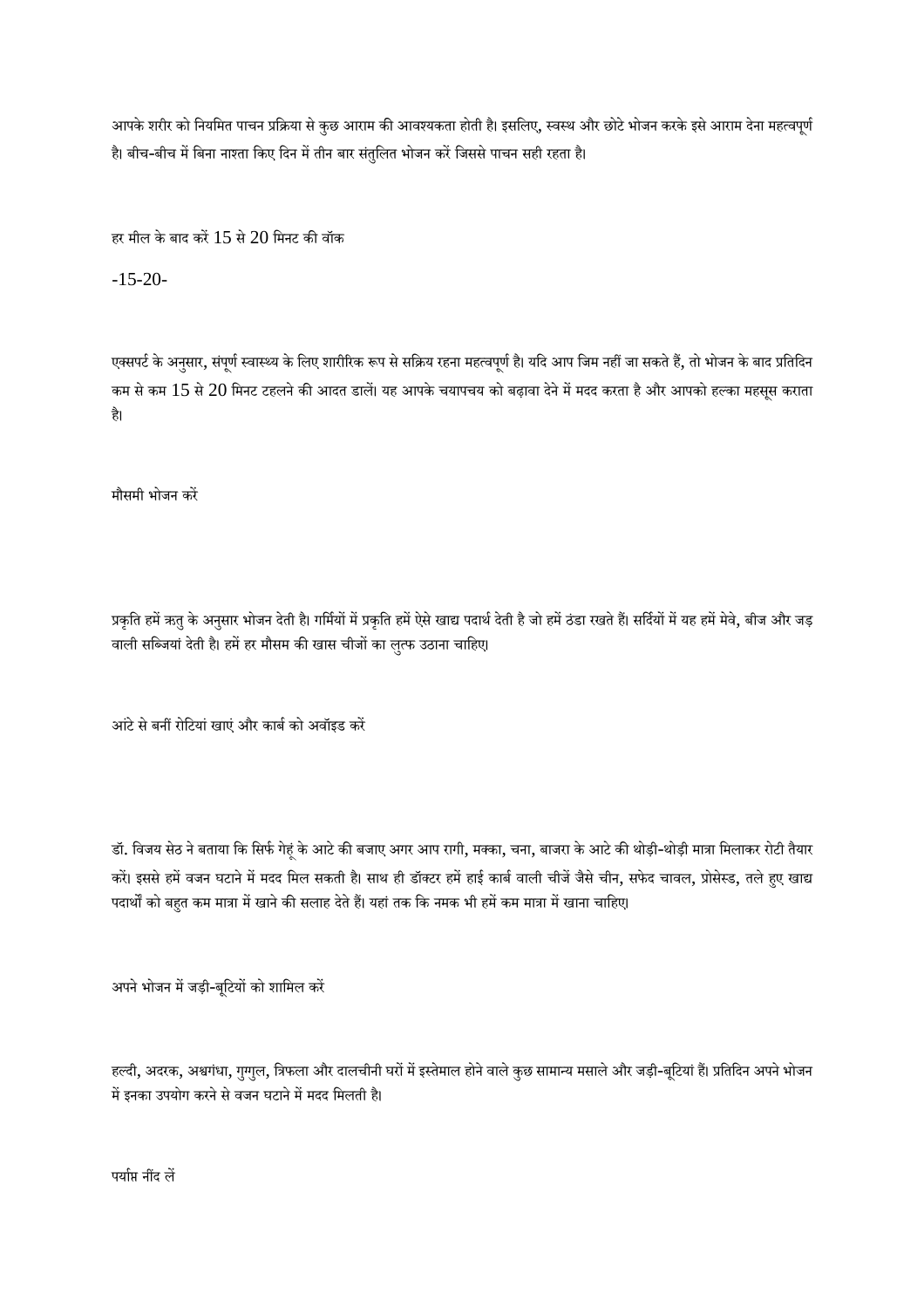आपके शरीर को नियमित पाचन प्रक्रिया से कुछ आराम की आवश्यकता होती है। इसलिए, स्वस्थ और छोटे भोजन करके इसे आराम देना महत्वपूर्ण है। बीच-बीच में बिना नाश्ता किए दिन में तीन बार संतुलित भोजन करें जिससे पाचन सही रहता है।

हर मील के बाद करें  $15$  से  $20$  मिनट की वॉक

-15-20-

एक्सपर्ट के अनुसार, संपूर्ण स्वास्थ्य के लिए शारीरिक रूप से सक्रिय रहना महत्वपूर्ण है। यदि आप जिम नहीं जा सकते हैं, तो भोजन के बाद प्रतिदिन कम से कम  $15$  से  $20$  मिनट टहलने की आदत डालें। यह आपके चयापचय को बढ़ावा देने में मदद करता है और आपको हल्का महसूस कराता है।

मौसमी भोजन कर

प्रकृति हमें ऋतु के अनुसार भोजन देती है। गर्मियों में प्रकृति हमें ऐसे खाद्य पदार्थ देती है जो हमें ठंडा रखते हैं। सर्दियों में यह हमें मेवे, बीज और जड़ वाली सब्जियां देती है। हमें हर मौसम की खास चीजों का लुत्फ उठाना चाहिए।

आंटे से बनीं रोटियां खाएं और कार्ब को अवॉइड करें

डॉ. विजय सेठ ने बताया कि सिर्फ गेहूं के आटे की बजाए अगर आप रागी, मक्का, चना, बाजरा के आटे की थोड़ी-थोड़ी मात्रा मिलाकर रोटी तैयार करें। इससे हमें वजन घटाने में मदद मिल सकती है। साथ ही डॉक्टर हमें हाई कार्ब वाली चीजें जैसे चीन, सफेद चावल, प्रोसेस्ड, तले हुए खाद्य पदार्थों को बहुत कम मात्रा में खाने की सलाह देते हैं। यहां तक कि नमक भी हमें कम मात्रा में खाना चाहिए।

अपने भोजन में जड़ी-बूटियों को शामिल करें

हल्दी, अदरक, अश्वगंधा, गुग्गुल, त्रिफला और दालचीनी घरों में इस्तेमाल होने वाले कुछ सामान्य मसाले और जड़ी-बूटियां हैं। प्रतिदिन अपने भोजन में इनका उपयोग करने से वजन घटाने में मदद मिलती है।

पर्याप्त नींद लें